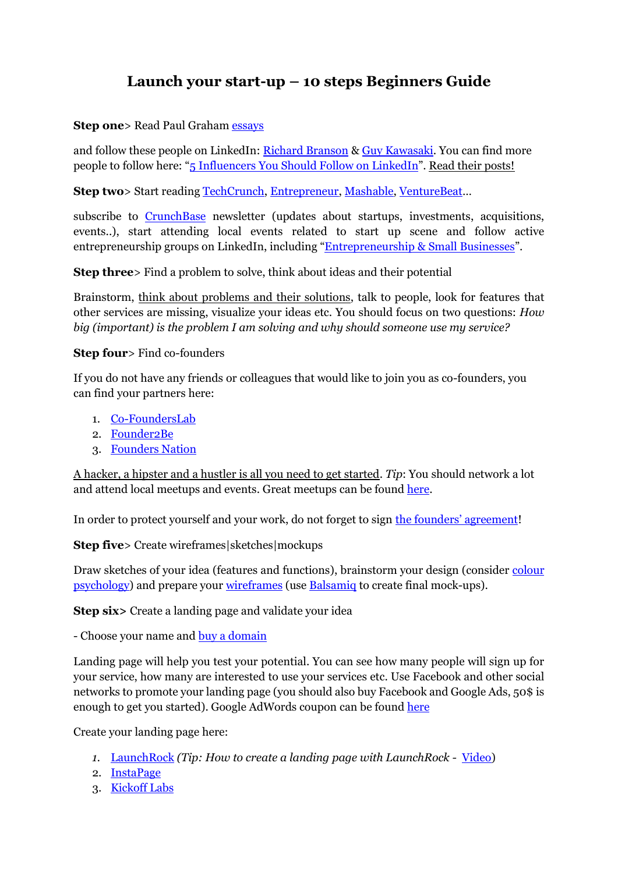## **Launch your start-up – 10 steps Beginners Guide**

## **Step one**> Read Paul Graham [essays](http://www.paulgraham.com/articles.html)

and follow these people on LinkedIn: [Richard Branson](https://www.linkedin.com/in/rbranson) & [Guy Kawasaki.](https://www.linkedin.com/in/guykawasaki) You can find more people to follow here: "[5 Influencers You Should Follow on](http://blog.ubervu.com/5-influencers-you-should-follow-on-linkedin-besides-richard-branson.html) LinkedIn". Read their posts!

**Step two**> Start reading [TechCrunch,](http://techcrunch.com/) [Entrepreneur,](http://www.entrepreneur.com/) [Mashable,](http://mashable.com/) [VentureBeat](http://venturebeat.com/)...

subscribe to **[CrunchBase](https://www.crunchbase.com/)** newsletter (updates about startups, investments, acquisitions, events..), start attending local events related to start up scene and follow active entrepreneurship groups on LinkedIn, including "Entrepreneurship [& Small Businesses](https://www.linkedin.com/channels/channel?name=entrepreneurship&trk=hp-feed-channel-name)".

**Step three**> Find a problem to solve, think about ideas and their potential

Brainstorm, think about problems and their solutions, talk to people, look for features that other services are missing, visualize your ideas etc. You should focus on two questions: *How big (important) is the problem I am solving and why should someone use my service?*

## **Step four**> Find co-founders

If you do not have any friends or colleagues that would like to join you as co-founders, you can find your partners here:

- 1. [Co-FoundersLab](https://www.cofounderslab.com/)
- 2. [Founder2Be](https://www.founder2be.com/)
- 3. [Founders Nation](http://www.founders-nation.com/)

A hacker, a hipster and a hustler is all you need to get started. *Tip*: You should network a lot and attend local meetups and events. Great meetups can be found [here.](http://www.meetup.com/)

In order to protect yourself and your work, do not forget to sign the [founders' agreement](http://strtp.com/notes/founding/founder-agreements/)!

**Step five**> Create wireframes|sketches|mockups

Draw sketches of your idea (features and functions), brainstorm your design (consider colour [psychology\)](http://www.empower-yourself-with-color-psychology.com/meaning-of-colors.html) and prepare your [wireframes](http://en.wikipedia.org/wiki/Website_wireframe) (use [Balsamiq](https://balsamiq.com/) to create final mock-ups).

**Step six>** Create a landing page and validate your idea

- Choose your name and [buy a domain](https://www.gandi.net/)

Landing page will help you test your potential. You can see how many people will sign up for your service, how many are interested to use your services etc. Use Facebook and other social networks to promote your landing page (you should also buy Facebook and Google Ads, 50\$ is enough to get you started). Google AdWords coupon can be found [here](http://www.google.com/ads/adwords-coupon.html)

Create your landing page here:

- *1.* [LaunchRock](https://www.launchrock.com/) *(Tip: How to create a landing page with LaunchRock -* [Video\)](https://www.youtube.com/watch?v=SEFX2uda7Lc)
- 2. [InstaPage](https://www.instapage.com/)
- 3. [Kickoff Labs](http://kickofflabs.com/)